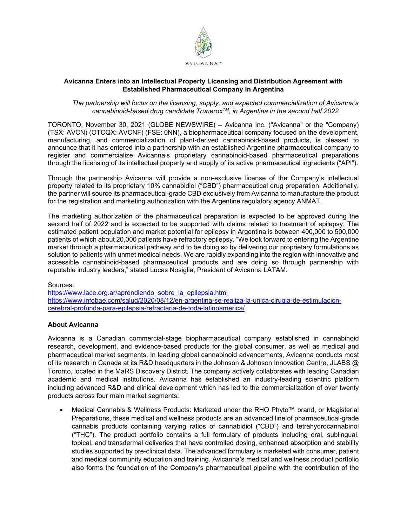

# **Avicanna Enters into an Intellectual Property Licensing and Distribution Agreement with Established Pharmaceutical Company in Argentina**

# *The partnership will focus on the licensing, supply, and expected commercialization of Avicanna's cannabinoid-based drug candidate TruneroxTM, in Argentina in the second half 2022*

TORONTO, November 30, 2021 (GLOBE NEWSWIRE) -- Avicanna Inc. ("Avicanna" or the "Company) (TSX: AVCN) (OTCQX: AVCNF) (FSE: 0NN), a biopharmaceutical company focused on the development, manufacturing, and commercialization of plant-derived cannabinoid-based products, is pleased to announce that it has entered into a partnership with an established Argentine pharmaceutical company to register and commercialize Avicanna's proprietary cannabinoid-based pharmaceutical preparations through the licensing of its intellectual property and supply of its active pharmaceutical ingredients ("API").

Through the partnership Avicanna will provide a non-exclusive license of the Company's intellectual property related to its proprietary 10% cannabidiol ("CBD") pharmaceutical drug preparation. Additionally, the partner will source its pharmaceutical-grade CBD exclusively from Avicanna to manufacture the product for the registration and marketing authorization with the Argentine regulatory agency ANMAT.

The marketing authorization of the pharmaceutical preparation is expected to be approved during the second half of 2022 and is expected to be supported with claims related to treatment of epilepsy. The estimated patient population and market potential for epilepsy in Argentina is between 400,000 to 500,000 patients of which about 20,000 patients have refractory epilepsy. "We look forward to entering the Argentine market through a pharmaceutical pathway and to be doing so by delivering our proprietary formulations as solution to patients with unmet medical needs. We are rapidly expanding into the region with innovative and accessible cannabinoid-based pharmaceutical products and are doing so through partnership with reputable industry leaders," stated Lucas Nosiglia, President of Avicanna LATAM.

Sources:

[https://www.lace.org.ar/aprendiendo\\_sobre\\_la\\_epilepsia.html](https://www.lace.org.ar/aprendiendo_sobre_la_epilepsia.html)  [https://www.infobae.com/salud/2020/08/12/en-argentina-se-realiza-la-unica-cirugia-de-estimulacion](https://www.infobae.com/salud/2020/08/12/en-argentina-se-realiza-la-unica-cirugia-de-estimulacion-cerebral-profunda-para-epilepsia-refractaria-de-toda-latinoamerica/)[cerebral-profunda-para-epilepsia-refractaria-de-toda-latinoamerica/](https://www.infobae.com/salud/2020/08/12/en-argentina-se-realiza-la-unica-cirugia-de-estimulacion-cerebral-profunda-para-epilepsia-refractaria-de-toda-latinoamerica/) 

# **About Avicanna**

Avicanna is a Canadian commercial-stage biopharmaceutical company established in cannabinoid research, development, and evidence-based products for the global consumer, as well as medical and pharmaceutical market segments. In leading global cannabinoid advancements, Avicanna conducts most of its research in Canada at its R&D headquarters in the Johnson & Johnson Innovation Centre, JLABS @ Toronto, located in the MaRS Discovery District. The company actively collaborates with leading Canadian academic and medical institutions. Avicanna has established an industry-leading scientific platform including advanced R&D and clinical development which has led to the commercialization of over twenty products across four main market segments:

• Medical Cannabis & Wellness Products: Marketed under the RHO Phyto™ brand, or Magisterial Preparations, these medical and wellness products are an advanced line of pharmaceutical-grade cannabis products containing varying ratios of cannabidiol ("CBD") and tetrahydrocannabinol ("THC"). The product portfolio contains a full formulary of products including oral, sublingual, topical, and transdermal deliveries that have controlled dosing, enhanced absorption and stability studies supported by pre-clinical data. The advanced formulary is marketed with consumer, patient and medical community education and training. Avicanna's medical and wellness product portfolio also forms the foundation of the Company's pharmaceutical pipeline with the contribution of the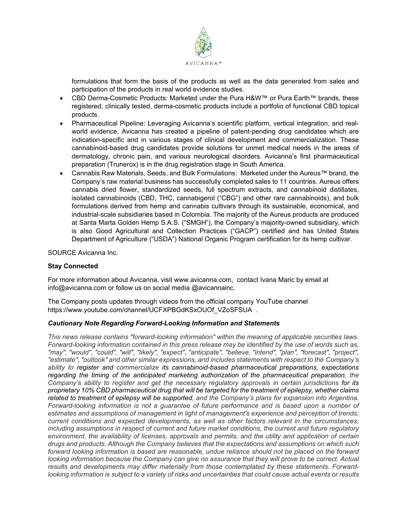

formulations that form the basis of the products as well as the data generated from sales and participation of the products in real world evidence studies.

- CBD Derma-Cosmetic Products: Marketed under the Pura H&W™ or Pura Earth™ brands, these registered, clinically tested, derma-cosmetic products include a portfolio of functional CBD topical products.
- Pharmaceutical Pipeline: Leveraging Avicanna's scientific platform, vertical integration, and realworld evidence, Avicanna has created a pipeline of patent-pending drug candidates which are indication-specific and in various stages of clinical development and commercialization. These cannabinoid-based drug candidates provide solutions for unmet medical needs in the areas of dermatology, chronic pain, and various neurological disorders. Avicanna's first pharmaceutical preparation (Trunerox) is in the drug registration stage in South America.
- Cannabis Raw Materials, Seeds, and Bulk Formulations: Marketed under the Aureus™ brand, the Company's raw material business has successfully completed sales to 11 countries. Aureus offers cannabis dried flower, standardized seeds, full spectrum extracts, and cannabinoid distillates, isolated cannabinoids (CBD, THC, cannabigerol ("CBG") and other rare cannabinoids), and bulk formulations derived from hemp and cannabis cultivars through its sustainable, economical, and industrial-scale subsidiaries based in Colombia. The majority of the Aureus products are produced at Santa Marta Golden Hemp S.A.S. ("SMGH"), the Company's majority-owned subsidiary, which is also Good Agricultural and Collection Practices ("GACP") certified and has United States Department of Agriculture ("USDA") National Organic Program certification for its hemp cultivar.

SOURCE Avicanna Inc.

### **Stay Connected**

For more information about Avicanna, visit [www.avicanna.com,](http://www.avicanna.com/) contact Ivana Maric by email at [info@avicanna.com](mailto:info@avicanna.com) or follow us on social media @avicannainc.

The Company posts updates through videos from the official company YouTube channel [https://www.youtube.com/channel/UCFXPBGdKSxOUOf\\_VZoSFSUA](https://www.youtube.com/channel/UCFXPBGdKSxOUOf_VZoSFSUA) .

#### *Cautionary Note Regarding Forward-Looking Information and Statements*

*This news release contains "forward-looking information" within the meaning of applicable securities laws. Forward-looking information contained in this press release may be identified by the use of words such as, "may", "would", "could", "will", "likely", "expect", "anticipate", "believe, "intend", "plan", "forecast", "project", "estimate", "outlook" and other similar expressions, and includes statements with respect to the Company's ability to register and commercialize its cannabinoid-based pharmaceutical preparations, expectations regarding the timing of the anticipated marketing authorization of the pharmaceutical preparation, the Company's ability to register and get the necessary regulatory approvals in certain jurisdictions for its proprietary 10% CBD pharmaceutical drug that will be targeted for the treatment of epilepsy, whether claims related to treatment of epilepsy will be supported, and the Company's plans for expansion into Argentina. Forward-looking information is not a guarantee of future performance and is based upon a number of estimates and assumptions of management in light of management's experience and perception of trends, current conditions and expected developments, as well as other factors relevant in the circumstances, including assumptions in respect of current and future market conditions, the current and future regulatory environment, the availability of licenses, approvals and permits, and the utility and application of certain drugs and products. Although the Company believes that the expectations and assumptions on which such forward looking information is based are reasonable, undue reliance should not be placed on the forward looking information because the Company can give no assurance that they will prove to be correct. Actual results and developments may differ materially from those contemplated by these statements. Forwardlooking information is subject to a variety of risks and uncertainties that could cause actual events or results*